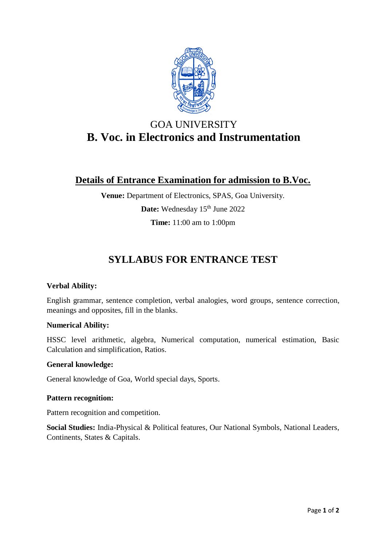

# GOA UNIVERSITY **B. Voc. in Electronics and Instrumentation**

# **Details of Entrance Examination for admission to B.Voc.**

**Venue:** Department of Electronics, SPAS, Goa University. Date: Wednesday 15<sup>th</sup> June 2022 **Time:** 11:00 am to 1:00pm

# **SYLLABUS FOR ENTRANCE TEST**

## **Verbal Ability:**

English grammar, sentence completion, verbal analogies, word groups, sentence correction, meanings and opposites, fill in the blanks.

## **Numerical Ability:**

HSSC level arithmetic, algebra, Numerical computation, numerical estimation, Basic Calculation and simplification, Ratios.

### **General knowledge:**

General knowledge of Goa, World special days, Sports.

### **Pattern recognition:**

Pattern recognition and competition.

**Social Studies:** India-Physical & Political features, Our National Symbols, National Leaders, Continents, States & Capitals.